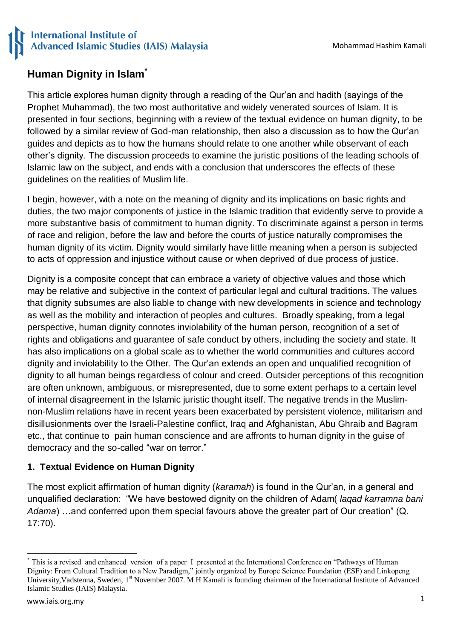## **Human Dignity in Islam\***

This article explores human dignity through a reading of the Qur"an and hadith (sayings of the Prophet Muhammad), the two most authoritative and widely venerated sources of Islam. It is presented in four sections, beginning with a review of the textual evidence on human dignity, to be followed by a similar review of God-man relationship, then also a discussion as to how the Qur"an guides and depicts as to how the humans should relate to one another while observant of each other"s dignity. The discussion proceeds to examine the juristic positions of the leading schools of Islamic law on the subject, and ends with a conclusion that underscores the effects of these guidelines on the realities of Muslim life.

I begin, however, with a note on the meaning of dignity and its implications on basic rights and duties, the two major components of justice in the Islamic tradition that evidently serve to provide a more substantive basis of commitment to human dignity. To discriminate against a person in terms of race and religion, before the law and before the courts of justice naturally compromises the human dignity of its victim. Dignity would similarly have little meaning when a person is subjected to acts of oppression and injustice without cause or when deprived of due process of justice.

Dignity is a composite concept that can embrace a variety of objective values and those which may be relative and subjective in the context of particular legal and cultural traditions. The values that dignity subsumes are also liable to change with new developments in science and technology as well as the mobility and interaction of peoples and cultures. Broadly speaking, from a legal perspective, human dignity connotes inviolability of the human person, recognition of a set of rights and obligations and guarantee of safe conduct by others, including the society and state. It has also implications on a global scale as to whether the world communities and cultures accord dignity and inviolability to the Other. The Qur"an extends an open and unqualified recognition of dignity to all human beings regardless of colour and creed. Outsider perceptions of this recognition are often unknown, ambiguous, or misrepresented, due to some extent perhaps to a certain level of internal disagreement in the Islamic juristic thought itself. The negative trends in the Muslimnon-Muslim relations have in recent years been exacerbated by persistent violence, militarism and disillusionments over the Israeli-Palestine conflict, Iraq and Afghanistan, Abu Ghraib and Bagram etc., that continue to pain human conscience and are affronts to human dignity in the guise of democracy and the so-called "war on terror."

## **1. Textual Evidence on Human Dignity**

The most explicit affirmation of human dignity (*karamah*) is found in the Qur"an, in a general and unqualified declaration: "We have bestowed dignity on the children of Adam( *laqad karramna bani Adama*) …and conferred upon them special favours above the greater part of Our creation" (Q. 17:70).

**.** 

<sup>\*</sup> This is a revised and enhanced version of a paper I presented at the International Conference on "Pathways of Human Dignity: From Cultural Tradition to a New Paradigm," jointly organized by Europe Science Foundation (ESF) and Linkopeng University, Vadstenna, Sweden, 1<sup>st</sup> November 2007. M H Kamali is founding chairman of the International Institute of Advanced Islamic Studies (IAIS) Malaysia.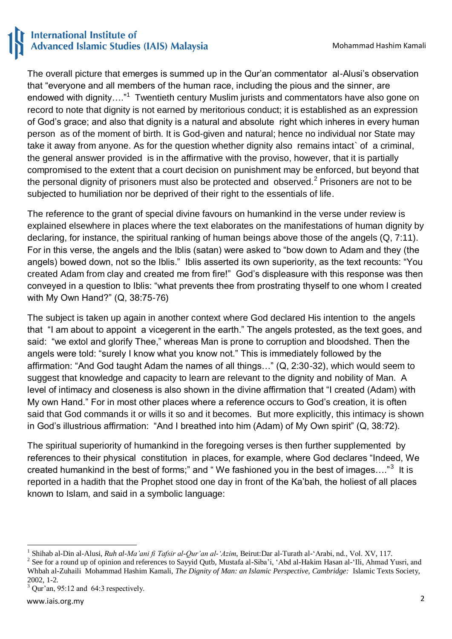The overall picture that emerges is summed up in the Qur"an commentator al-Alusi"s observation that "everyone and all members of the human race, including the pious and the sinner, are endowed with dignity...."<sup>1</sup> Twentieth century Muslim jurists and commentators have also gone on record to note that dignity is not earned by meritorious conduct; it is established as an expression of God"s grace; and also that dignity is a natural and absolute right which inheres in every human person as of the moment of birth. It is God-given and natural; hence no individual nor State may take it away from anyone. As for the question whether dignity also remains intact` of a criminal, the general answer provided is in the affirmative with the proviso, however, that it is partially compromised to the extent that a court decision on punishment may be enforced, but beyond that the personal dignity of prisoners must also be protected and observed.<sup>2</sup> Prisoners are not to be subjected to humiliation nor be deprived of their right to the essentials of life.

The reference to the grant of special divine favours on humankind in the verse under review is explained elsewhere in places where the text elaborates on the manifestations of human dignity by declaring, for instance, the spiritual ranking of human beings above those of the angels (Q, 7:11). For in this verse, the angels and the Iblis (satan) were asked to "bow down to Adam and they (the angels) bowed down, not so the Iblis." Iblis asserted its own superiority, as the text recounts: "You created Adam from clay and created me from fire!" God"s displeasure with this response was then conveyed in a question to Iblis: "what prevents thee from prostrating thyself to one whom I created with My Own Hand?" (Q, 38:75-76)

The subject is taken up again in another context where God declared His intention to the angels that "I am about to appoint a vicegerent in the earth." The angels protested, as the text goes, and said: "we extol and glorify Thee," whereas Man is prone to corruption and bloodshed. Then the angels were told: "surely I know what you know not." This is immediately followed by the affirmation: "And God taught Adam the names of all things…" (Q, 2:30-32), which would seem to suggest that knowledge and capacity to learn are relevant to the dignity and nobility of Man. A level of intimacy and closeness is also shown in the divine affirmation that "I created (Adam) with My own Hand." For in most other places where a reference occurs to God's creation, it is often said that God commands it or wills it so and it becomes. But more explicitly, this intimacy is shown in God"s illustrious affirmation: "And I breathed into him (Adam) of My Own spirit" (Q, 38:72).

The spiritual superiority of humankind in the foregoing verses is then further supplemented by references to their physical constitution in places, for example, where God declares "Indeed, We created humankind in the best of forms;" and "We fashioned you in the best of images...."<sup>3</sup> It is reported in a hadith that the Prophet stood one day in front of the Ka"bah, the holiest of all places known to Islam, and said in a symbolic language:

<sup>1</sup> 1 Shihab al-Din al-Alusi, *Ruh al-Ma'ani fi Tafsir al-Qur'an al-'Azim*, Beirut:Dar al-Turath al-"Arabi, nd., Vol. XV, 117.

<sup>&</sup>lt;sup>2</sup> See for a round up of opinion and references to Sayyid Qutb, Mustafa al-Siba'i, 'Abd al-Hakim Hasan al-'Ili, Ahmad Yusri, and Whbah al-Zuhaili Mohammad Hashim Kamali, *The Dignity of Man: an Islamic Perspective, Cambridge:* Islamic Texts Society, 2002, 1-2.

 $3$  Qur'an, 95:12 and 64:3 respectively.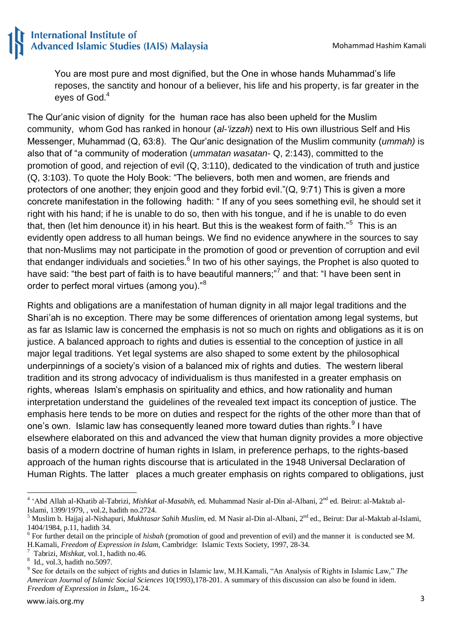You are most pure and most dignified, but the One in whose hands Muhammad"s life reposes, the sanctity and honour of a believer, his life and his property, is far greater in the eves of God.<sup>4</sup>

The Qur"anic vision of dignity for the human race has also been upheld for the Muslim community, whom God has ranked in honour (*al-'izzah*) next to His own illustrious Self and His Messenger, Muhammad (Q, 63:8). The Qur"anic designation of the Muslim community (*ummah)* is also that of "a community of moderation (*ummatan wasatan*- Q, 2:143), committed to the promotion of good, and rejection of evil (Q, 3:110), dedicated to the vindication of truth and justice (Q, 3:103). To quote the Holy Book: "The believers, both men and women, are friends and protectors of one another; they enjoin good and they forbid evil."(Q, 9:71) This is given a more concrete manifestation in the following hadith: " If any of you sees something evil, he should set it right with his hand; if he is unable to do so, then with his tongue, and if he is unable to do even that, then (let him denounce it) in his heart. But this is the weakest form of faith."<sup>5</sup> This is an evidently open address to all human beings. We find no evidence anywhere in the sources to say that non-Muslims may not participate in the promotion of good or prevention of corruption and evil that endanger individuals and societies. $^6$  In two of his other sayings, the Prophet is also quoted to have said: "the best part of faith is to have beautiful manners;"<sup>7</sup> and that: "I have been sent in order to perfect moral virtues (among you)."<sup>8</sup>

Rights and obligations are a manifestation of human dignity in all major legal traditions and the Shari"ah is no exception. There may be some differences of orientation among legal systems, but as far as Islamic law is concerned the emphasis is not so much on rights and obligations as it is on justice. A balanced approach to rights and duties is essential to the conception of justice in all major legal traditions. Yet legal systems are also shaped to some extent by the philosophical underpinnings of a society"s vision of a balanced mix of rights and duties. The western liberal tradition and its strong advocacy of individualism is thus manifested in a greater emphasis on rights, whereas Islam"s emphasis on spirituality and ethics, and how rationality and human interpretation understand the guidelines of the revealed text impact its conception of justice. The emphasis here tends to be more on duties and respect for the rights of the other more than that of one's own. Islamic law has consequently leaned more toward duties than rights. <sup>9</sup> I have elsewhere elaborated on this and advanced the view that human dignity provides a more objective basis of a modern doctrine of human rights in Islam, in preference perhaps, to the rights-based approach of the human rights discourse that is articulated in the 1948 Universal Declaration of Human Rights. The latter places a much greater emphasis on rights compared to obligations, just

 4 "Abd Allah al-Khatib al-Tabrizi, *Mishkat al-Masabih*, ed. Muhammad Nasir al-Din al-Albani, 2nd ed. Beirut: al-Maktab al-Islami, 1399/1979, , vol.2, hadith no.2724.

<sup>&</sup>lt;sup>5</sup> Muslim b. Hajjaj al-Nishapuri, *Mukhtasar Sahih Muslim*, ed. M Nasir al-Din al-Albani, 2<sup>nd</sup> ed., Beirut: Dar al-Maktab al-Islami, 1404/1984, p.11, hadith 34.

<sup>&</sup>lt;sup>6</sup> For further detail on the principle of *hisbah* (promotion of good and prevention of evil) and the manner it is conducted see M. H.Kamali, *Freedom of Expression in Islam*, Cambridge: Islamic Texts Society, 1997, 28-34.

<sup>7</sup> Tabrizi, *Mishkat*, vol.1, hadith no.46.

<sup>8</sup> Id., vol.3, hadith no.5097.

<sup>9</sup> See for details on the subject of rights and duties in Islamic law, M.H.Kamali, "An Analysis of Rights in Islamic Law," *The American Journal of Islamic Social Sciences* 10(1993),178-201. A summary of this discussion can also be found in idem. *Freedom of Expression in Islam*,, 16-24.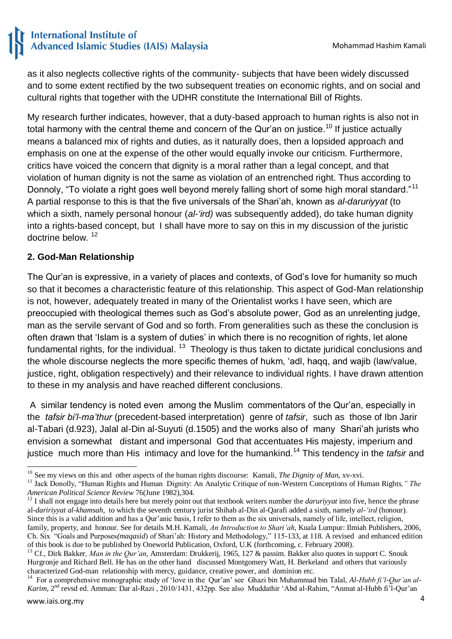as it also neglects collective rights of the community- subjects that have been widely discussed and to some extent rectified by the two subsequent treaties on economic rights, and on social and cultural rights that together with the UDHR constitute the International Bill of Rights.

My research further indicates, however, that a duty-based approach to human rights is also not in total harmony with the central theme and concern of the Qur'an on justice.<sup>10</sup> If justice actually means a balanced mix of rights and duties, as it naturally does, then a lopsided approach and emphasis on one at the expense of the other would equally invoke our criticism. Furthermore, critics have voiced the concern that dignity is a moral rather than a legal concept, and that violation of human dignity is not the same as violation of an entrenched right. Thus according to Donnoly, "To violate a right goes well beyond merely falling short of some high moral standard."<sup>11</sup> A partial response to this is that the five universals of the Shari"ah, known as *al-daruriyyat* (to which a sixth, namely personal honour (*al-'ird)* was subsequently added), do take human dignity into a rights-based concept, but I shall have more to say on this in my discussion of the juristic doctrine below. <sup>12</sup>

### **2. God-Man Relationship**

The Qur"an is expressive, in a variety of places and contexts, of God"s love for humanity so much so that it becomes a characteristic feature of this relationship. This aspect of God-Man relationship is not, however, adequately treated in many of the Orientalist works I have seen, which are preoccupied with theological themes such as God"s absolute power, God as an unrelenting judge, man as the servile servant of God and so forth. From generalities such as these the conclusion is often drawn that 'Islam is a system of duties' in which there is no recognition of rights, let alone fundamental rights, for the individual. <sup>13</sup> Theology is thus taken to dictate juridical conclusions and the whole discourse neglects the more specific themes of hukm, "adl, haqq, and wajib (law/value, justice, right, obligation respectively) and their relevance to individual rights. I have drawn attention to these in my analysis and have reached different conclusions.

A similar tendency is noted even among the Muslim commentators of the Qur"an, especially in the *tafsir bi'l-ma'thur* (precedent-based interpretation) genre of *tafsir*, such as those of Ibn Jarir al-Tabari (d.923), Jalal al-Din al-Suyuti (d.1505) and the works also of many Shari"ah jurists who envision a somewhat distant and impersonal God that accentuates His majesty, imperium and justice much more than His intimacy and love for the humankind.<sup>14</sup> This tendency in the *tafsir* and

<sup>1</sup> <sup>10</sup> See my views on this and other aspects of the human rights discourse: Kamali, *The Dignity of Man*, xv-xvi.

<sup>&</sup>lt;sup>11</sup> Jack Donolly, "Human Rights and Human Dignity: An Analytic Critique of non-Western Conceptions of Human Rights," The *American Political Science Review* 76(June 1982),304.

<sup>&</sup>lt;sup>12</sup> I shall not engage into details here but merely point out that textbook writers number the *daruriyyat* into five, hence the phrase al*-daririyyat al-khamsah*, to which the seventh century jurist Shihab al-Din al-Qarafi added a sixth, namely *al-'ird* (honour). Since this is a valid addition and has a Qur"anic basis, I refer to them as the six universals, namely of life, intellect, religion, family, property, and honour. See for details M.H. Kamali, *An Introduction to Shari'ah*, Kuala Lumpur: Ilmiah Publishers, 2006, Ch. Six "Goals and Purposes*(maqasid*) of Shari"ah: History and Methodology," 115-133, at 118. A revised and enhanced edition

of this book is due to be published by Oneworld Publication, Oxford, U.K (forthcoming, c. February 2008).

<sup>&</sup>lt;sup>13</sup> Cf., Dirk Bakker, Man in the Qur'an, Amsterdam: Drukkerij, 1965, 127 & passim. Bakker also quotes in support C. Snouk Hurgronje and Richard Bell. He has on the other hand discussed Montgomery Watt, H. Berkeland and others that variously characterized God-man relationship with mercy, guidance, creative power, and dominion etc.

<sup>&</sup>lt;sup>14</sup> For a comprehensive monographic study of 'love in the Qur'an' see Ghazi bin Muhammad bin Talal, *Al-Hubb fi'l-Qur'an al-Karim*, 2<sup>nd</sup> revsd ed. Amman: Dar al-Razi , 2010/1431, 432pp. See also Muddathir 'Abd al-Rahim, "Anmat al-Hubb fi'l-Qur'an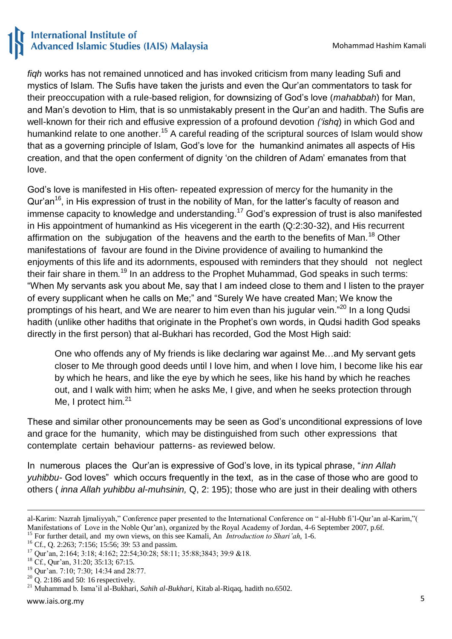*fiqh* works has not remained unnoticed and has invoked criticism from many leading Sufi and mystics of Islam. The Sufis have taken the jurists and even the Qur"an commentators to task for their preoccupation with a rule-based religion, for downsizing of God"s love (*mahabbah*) for Man, and Man"s devotion to Him, that is so unmistakably present in the Qur"an and hadith. The Sufis are well-known for their rich and effusive expression of a profound devotion *('ishq*) in which God and humankind relate to one another.<sup>15</sup> A careful reading of the scriptural sources of Islam would show that as a governing principle of Islam, God"s love for the humankind animates all aspects of His creation, and that the open conferment of dignity "on the children of Adam" emanates from that love.

God"s love is manifested in His often- repeated expression of mercy for the humanity in the Qur'an<sup>16</sup>, in His expression of trust in the nobility of Man, for the latter's faculty of reason and immense capacity to knowledge and understanding.<sup>17</sup> God's expression of trust is also manifested in His appointment of humankind as His vicegerent in the earth (Q:2:30-32), and His recurrent affirmation on the subiugation of the heavens and the earth to the benefits of Man.<sup>18</sup> Other manifestations of favour are found in the Divine providence of availing to humankind the enjoyments of this life and its adornments, espoused with reminders that they should not neglect their fair share in them.<sup>19</sup> In an address to the Prophet Muhammad, God speaks in such terms: "When My servants ask you about Me, say that I am indeed close to them and I listen to the prayer of every supplicant when he calls on Me;" and "Surely We have created Man; We know the promptings of his heart, and We are nearer to him even than his jugular vein."<sup>20</sup> In a long Qudsi hadith (unlike other hadiths that originate in the Prophet's own words, in Qudsi hadith God speaks directly in the first person) that al-Bukhari has recorded, God the Most High said:

One who offends any of My friends is like declaring war against Me…and My servant gets closer to Me through good deeds until I love him, and when I love him, I become like his ear by which he hears, and like the eye by which he sees, like his hand by which he reaches out, and I walk with him; when he asks Me, I give, and when he seeks protection through Me, I protect him.<sup>21</sup>

These and similar other pronouncements may be seen as God"s unconditional expressions of love and grace for the humanity, which may be distinguished from such other expressions that contemplate certain behaviour patterns- as reviewed below.

In numerous places the Qur"an is expressive of God"s love, in its typical phrase, "*inn Allah yuhibbu*- God loves" which occurs frequently in the text, as in the case of those who are good to others ( *inna Allah yuhibbu al*-*muhsinin,* Q, 2: 195); those who are just in their dealing with others

**<sup>.</sup>** al-Karim: Nazrah Ijmaliyyah," Conference paper presented to the International Conference on " al-Hubb fi"l-Qur"an al-Karim,"( Manifestations of Love in the Noble Qur'an), organized by the Royal Academy of Jordan, 4-6 September 2007, p.6f. <sup>15</sup> For further detail, and my own views, on this see Kamali, An *Introduction to Shari'ah*, 1-6.

<sup>&</sup>lt;sup>16</sup> Cf., Q. 2:263; 7:156; 15:56; 39: 53 and passim.

<sup>&</sup>lt;sup>17</sup> Our'an, 2:164; 3:18; 4:162; 22:54;30:28; 58:11; 35:88;3843; 39:9 &18.

<sup>&</sup>lt;sup>18</sup> Cf., Qur'an, 31:20; 35:13; 67:15.

<sup>&</sup>lt;sup>19</sup> Our'an. 7:10; 7:30; 14:34 and 28:77.

<sup>&</sup>lt;sup>20</sup> Q. 2:186 and 50: 16 respectively.

<sup>21</sup> Muhammad b. Isma"il al-Bukhari, *Sahih al-Bukhari*, Kitab al-Riqaq, hadith no.6502.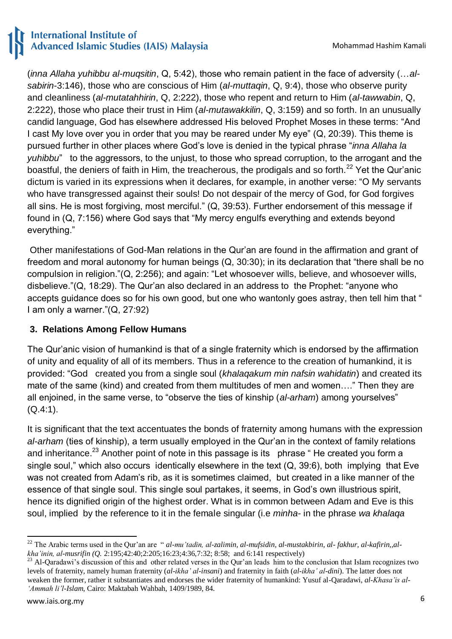(*inna Allaha yuhibbu al-muqsitin*, Q, 5:42), those who remain patient in the face of adversity (…*alsabirin*-3:146), those who are conscious of Him (*al-muttaqin*, Q, 9:4), those who observe purity and cleanliness (*al-mutatahhirin*, Q, 2:222), those who repent and return to Him (*al-tawwabin*, Q, 2:222), those who place their trust in Him (*al-mutawakkilin*, Q, 3:159) and so forth. In an unusually candid language, God has elsewhere addressed His beloved Prophet Moses in these terms: "And I cast My love over you in order that you may be reared under My eye" (Q, 20:39). This theme is pursued further in other places where God"s love is denied in the typical phrase "*inna Allaha la yuhibbu*" to the aggressors, to the unjust, to those who spread corruption, to the arrogant and the boastful, the deniers of faith in Him, the treacherous, the prodigals and so forth.<sup>22</sup> Yet the Qur'anic dictum is varied in its expressions when it declares, for example, in another verse: "O My servants who have transgressed against their souls! Do not despair of the mercy of God, for God forgives all sins. He is most forgiving, most merciful." (Q, 39:53). Further endorsement of this message if found in (Q, 7:156) where God says that "My mercy engulfs everything and extends beyond everything."

Other manifestations of God-Man relations in the Qur"an are found in the affirmation and grant of freedom and moral autonomy for human beings (Q, 30:30); in its declaration that "there shall be no compulsion in religion."(Q, 2:256); and again: "Let whosoever wills, believe, and whosoever wills, disbelieve."(Q, 18:29). The Qur"an also declared in an address to the Prophet: "anyone who accepts guidance does so for his own good, but one who wantonly goes astray, then tell him that " I am only a warner."(Q, 27:92)

## **3. Relations Among Fellow Humans**

The Qur"anic vision of humankind is that of a single fraternity which is endorsed by the affirmation of unity and equality of all of its members. Thus in a reference to the creation of humankind, it is provided: "God created you from a single soul (*khalaqakum min nafsin wahidatin*) and created its mate of the same (kind) and created from them multitudes of men and women…." Then they are all enjoined, in the same verse, to "observe the ties of kinship (*al-arham*) among yourselves" (Q.4:1).

It is significant that the text accentuates the bonds of fraternity among humans with the expression *al-arham* (ties of kinship), a term usually employed in the Qur"an in the context of family relations and inheritance.<sup>23</sup> Another point of note in this passage is its phrase "He created you form a single soul," which also occurs identically elsewhere in the text (Q, 39:6), both implying that Eve was not created from Adam"s rib, as it is sometimes claimed, but created in a like manner of the essence of that single soul. This single soul partakes, it seems, in God's own illustrious spirit, hence its dignified origin of the highest order. What is in common between Adam and Eve is this soul, implied by the reference to it in the female singular (i.e *minha*- in the phrase *wa khalaqa* 

<sup>1</sup> <sup>22</sup> The Arabic terms used in the Qur"an are " *al-mu'tadin, al-zalimin, al-mufsidin, al-mustakbirin, al- fakhur, al-kafirin,,alkha'inin, al-musrifin (Q.* 2:195;42:40;2:205;16:23;4:36,7:32; 8:58; and 6:141 respectively)

<sup>&</sup>lt;sup>23</sup> Al-Qaradawi's discussion of this and other related verses in the Qur'an leads him to the conclusion that Islam recognizes two levels of fraternity, namely human fraternity (*al-ikha' al-insani*) and fraternity in faith (*al-ikha' al-dini*). The latter does not weaken the former, rather it substantiates and endorses the wider fraternity of humankind: Yusuf al-Qaradawi, *al-Khasa'is al- 'Ammah li'l-Islam*, Cairo: Maktabah Wahbah, 1409/1989, 84.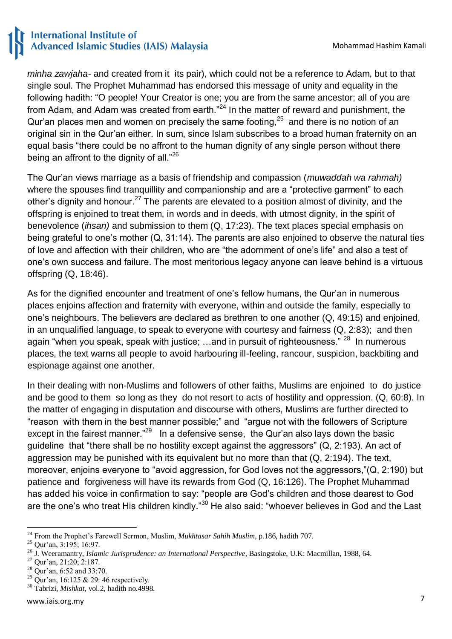*minha zawjaha-* and created from it its pair), which could not be a reference to Adam, but to that single soul. The Prophet Muhammad has endorsed this message of unity and equality in the following hadith: "O people! Your Creator is one; you are from the same ancestor; all of you are from Adam, and Adam was created from earth."<sup>24</sup> In the matter of reward and punishment, the Qur'an places men and women on precisely the same footing, $25$  and there is no notion of an original sin in the Qur"an either. In sum, since Islam subscribes to a broad human fraternity on an equal basis "there could be no affront to the human dignity of any single person without there being an affront to the dignity of all."<sup>26</sup>

The Qur"an views marriage as a basis of friendship and compassion (*muwaddah wa rahmah)*  where the spouses find tranquillity and companionship and are a "protective garment" to each other's dignity and honour.<sup>27</sup> The parents are elevated to a position almost of divinity, and the offspring is enjoined to treat them, in words and in deeds, with utmost dignity, in the spirit of benevolence (*ihsan)* and submission to them (Q, 17:23). The text places special emphasis on being grateful to one's mother  $(Q, 31:14)$ . The parents are also enjoined to observe the natural ties of love and affection with their children, who are "the adornment of one"s life" and also a test of one"s own success and failure. The most meritorious legacy anyone can leave behind is a virtuous offspring (Q, 18:46).

As for the dignified encounter and treatment of one's fellow humans, the Qur'an in numerous places enjoins affection and fraternity with everyone, within and outside the family, especially to one"s neighbours. The believers are declared as brethren to one another (Q, 49:15) and enjoined, in an unqualified language, to speak to everyone with courtesy and fairness (Q, 2:83); and then again "when you speak, speak with justice; ...and in pursuit of righteousness." <sup>28</sup> In numerous places, the text warns all people to avoid harbouring ill-feeling, rancour, suspicion, backbiting and espionage against one another.

In their dealing with non-Muslims and followers of other faiths, Muslims are enjoined to do justice and be good to them so long as they do not resort to acts of hostility and oppression. (Q, 60:8). In the matter of engaging in disputation and discourse with others, Muslims are further directed to "reason with them in the best manner possible;" and "argue not with the followers of Scripture except in the fairest manner."<sup>29</sup> In a defensive sense, the Qur'an also lays down the basic guideline that "there shall be no hostility except against the aggressors" (Q, 2:193). An act of aggression may be punished with its equivalent but no more than that (Q, 2:194). The text, moreover, enjoins everyone to "avoid aggression, for God loves not the aggressors,"(Q, 2:190) but patience and forgiveness will have its rewards from God (Q, 16:126). The Prophet Muhammad has added his voice in confirmation to say: "people are God's children and those dearest to God are the one's who treat His children kindly."<sup>30</sup> He also said: "whoever believes in God and the Last

<sup>-</sup><sup>24</sup> From the Prophet's Farewell Sermon, Muslim, *Mukhtasar Sahih Muslim*, p.186, hadith 707.

<sup>&</sup>lt;sup>25</sup> Our'an, 3:195; 16:97.

<sup>26</sup> J. Weeramantry, *Islamic Jurisprudence: an International Perspective*, Basingstoke, U.K: Macmillan, 1988, 64.

<sup>&</sup>lt;sup>27</sup> Our'an, 21:20; 2:187.

<sup>28</sup> Qur"an, 6:52 and 33:70.

<sup>&</sup>lt;sup>29</sup> Our'an, 16:125 & 29: 46 respectively.

<sup>30</sup> Tabrizi*, Mishkat*, vol.2, hadith no.4998.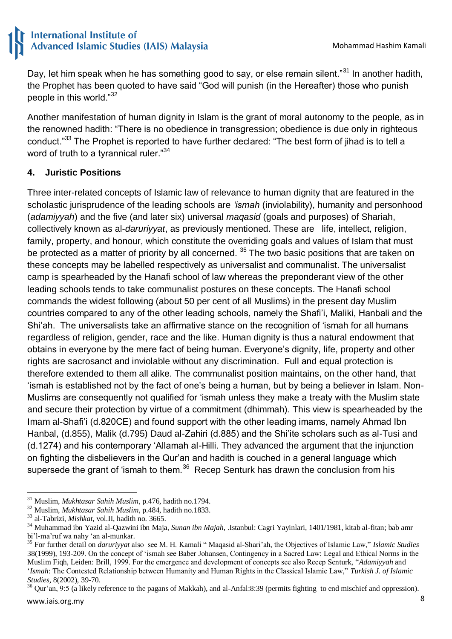Day, let him speak when he has something good to say, or else remain silent."<sup>31</sup> In another hadith, the Prophet has been quoted to have said "God will punish (in the Hereafter) those who punish people in this world."<sup>32</sup>

Another manifestation of human dignity in Islam is the grant of moral autonomy to the people, as in the renowned hadith: "There is no obedience in transgression; obedience is due only in righteous conduct."<sup>33</sup> The Prophet is reported to have further declared: "The best form of jihad is to tell a word of truth to a tyrannical ruler."<sup>34</sup>

### **4. Juristic Positions**

Three inter-related concepts of Islamic law of relevance to human dignity that are featured in the scholastic jurisprudence of the leading schools are *'ismah* (inviolability), humanity and personhood (*adamiyyah*) and the five (and later six) universal *maqasid* (goals and purposes) of Shariah, collectively known as al-*daruriyyat*, as previously mentioned. These are life, intellect, religion, family, property, and honour, which constitute the overriding goals and values of Islam that must be protected as a matter of priority by all concerned.  $35$  The two basic positions that are taken on these concepts may be labelled respectively as universalist and communalist. The universalist camp is spearheaded by the Hanafi school of law whereas the preponderant view of the other leading schools tends to take communalist postures on these concepts. The Hanafi school commands the widest following (about 50 per cent of all Muslims) in the present day Muslim countries compared to any of the other leading schools, namely the Shafi"i, Maliki, Hanbali and the Shi"ah. The universalists take an affirmative stance on the recognition of "ismah for all humans regardless of religion, gender, race and the like. Human dignity is thus a natural endowment that obtains in everyone by the mere fact of being human. Everyone"s dignity, life, property and other rights are sacrosanct and inviolable without any discrimination. Full and equal protection is therefore extended to them all alike. The communalist position maintains, on the other hand, that "ismah is established not by the fact of one"s being a human, but by being a believer in Islam. Non-Muslims are consequently not qualified for "ismah unless they make a treaty with the Muslim state and secure their protection by virtue of a commitment (dhimmah). This view is spearheaded by the Imam al-Shafi"i (d.820CE) and found support with the other leading imams, namely Ahmad Ibn Hanbal, (d.855), Malik (d.795) Daud al-Zahiri (d.885) and the Shi"ite scholars such as al-Tusi and (d.1274) and his contemporary "Allamah al-Hilli. They advanced the argument that the injunction on fighting the disbelievers in the Qur"an and hadith is couched in a general language which supersede the grant of 'ismah to them.<sup>36</sup> Recep Senturk has drawn the conclusion from his

<sup>1</sup> <sup>31</sup> Muslim, *Mukhtasar Sahih Muslim*, p.476, hadith no.1794.

<sup>32</sup> Muslim, *Mukhtasar Sahih Muslim*, p.484, hadith no.1833.

<sup>33</sup> al-Tabrizi, *Mishkat*, vol.II, hadith no. 3665.

<sup>34</sup> Muhammad ibn Yazid al-Qazwini ibn Maja, *Sunan ibn Majah*, .Istanbul: Cagri Yayinlari, 1401/1981, kitab al-fitan; bab amr bi"l-ma"ruf wa nahy "an al-munkar.

<sup>35</sup> For further detail on *daruriyyat* also see M. H. Kamali " Maqasid al-Shari"ah, the Objectives of Islamic Law," *Islamic Studies* 38(1999), 193-209. On the concept of "ismah see Baber Johansen, Contingency in a Sacred Law: Legal and Ethical Norms in the Muslim Fiqh, Leiden: Brill, 1999. For the emergence and development of concepts see also Recep Senturk, "*Adamiyyah* and "*Ismah*: The Contested Relationship between Humanity and Human Rights in the Classical Islamic Law," *Turkish J. of Islamic Studies,* 8(2002), 39-70.

 $36$  Qur'an, 9:5 (a likely reference to the pagans of Makkah), and al-Anfal:8:39 (permits fighting to end mischief and oppression).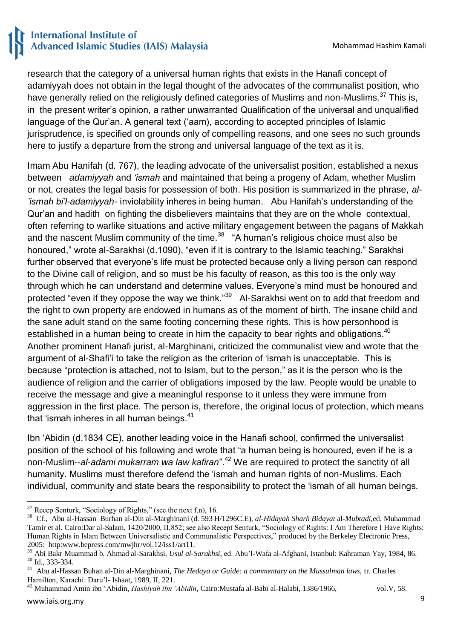research that the category of a universal human rights that exists in the Hanafi concept of adamiyyah does not obtain in the legal thought of the advocates of the communalist position, who have generally relied on the religiously defined categories of Muslims and non-Muslims.<sup>37</sup> This is, in the present writer"s opinion, a rather unwarranted Qualification of the universal and unqualified language of the Qur'an. A general text ('aam), according to accepted principles of Islamic jurisprudence, is specified on grounds only of compelling reasons, and one sees no such grounds here to justify a departure from the strong and universal language of the text as it is.

Imam Abu Hanifah (d. 767), the leading advocate of the universalist position, established a nexus between *adamiyyah* and *'ismah* and maintained that being a progeny of Adam, whether Muslim or not, creates the legal basis for possession of both. His position is summarized in the phrase, *al- 'ismah bi'l-adamiyyah-* inviolability inheres in being human. Abu Hanifah"s understanding of the Qur"an and hadith on fighting the disbelievers maintains that they are on the whole contextual, often referring to warlike situations and active military engagement between the pagans of Makkah and the nascent Muslim community of the time. $38$  "A human's religious choice must also be honoured," wrote al-Sarakhsi (d.1090), "even if it is contrary to the Islamic teaching." Sarakhsi further observed that everyone"s life must be protected because only a living person can respond to the Divine call of religion, and so must be his faculty of reason, as this too is the only way through which he can understand and determine values. Everyone"s mind must be honoured and protected "even if they oppose the way we think."<sup>39</sup> Al-Sarakhsi went on to add that freedom and the right to own property are endowed in humans as of the moment of birth. The insane child and the sane adult stand on the same footing concerning these rights. This is how personhood is established in a human being to create in him the capacity to bear rights and obligations.<sup>40</sup> Another prominent Hanafi jurist, al-Marghinani, criticized the communalist view and wrote that the argument of al-Shafi"i to take the religion as the criterion of "ismah is unacceptable. This is because "protection is attached, not to Islam, but to the person," as it is the person who is the audience of religion and the carrier of obligations imposed by the law. People would be unable to receive the message and give a meaningful response to it unless they were immune from aggression in the first place. The person is, therefore, the original locus of protection, which means that 'ismah inheres in all human beings.<sup>41</sup>

Ibn "Abidin (d.1834 CE), another leading voice in the Hanafi school, confirmed the universalist position of the school of his following and wrote that "a human being is honoured, even if he is a non-Muslim--*al-adami mukarram wa law kafiran*".<sup>42</sup> We are required to protect the sanctity of all humanity. Muslims must therefore defend the "ismah and human rights of non-Muslims. Each individual, community and state bears the responsibility to protect the "ismah of all human beings.

<sup>42</sup> Muhammad Amin ibn 'Abidin, *Hashiyah ibn 'Abidin*, Cairo:Mustafa al-Babi al-Halabi, 1386/1966, vol.V, 58.

**<sup>.</sup>**  $37$  Recep Senturk, "Sociology of Rights," (see the next f.n), 16.

<sup>38</sup> Cf., Abu al-Hassan Burhan al-Din al-Marghinani (d. 593 H/1296C.E), *al-Hidayah Sharh Bidayat* al-*Mubtadi,*ed. Muhammad Tamir et al. Cairo:Dar al-Salam, 1420/2000, II,852; see also Recept Senturk, "Sociology of Rights: I Am Therefore I Have Rights: Human Rights in Islam Between Universalistic and Communalistic Perspectives," produced by the Berkeley Electronic Press, 2005: http:www.bepress.com/mwjhr/vol.12/iss1/art11.

<sup>39</sup> Abi Bakr Muammad b. Ahmad al-Sarakhsi, *Usul al-Sarakhsi*, ed. Abu"l-Wafa al-Afghani, Istanbul: Kahraman Yay, 1984, 86. <sup>40</sup> Id., 333-334.

<sup>41</sup> Abu al-Hassan Buhan al-Din al-Marghinani, *The Hedaya or Guide: a commentary on the Mussulman laws,* tr. Charles Hamilton, Karachi: Daru"l- Ishaat, 1989, II, 221.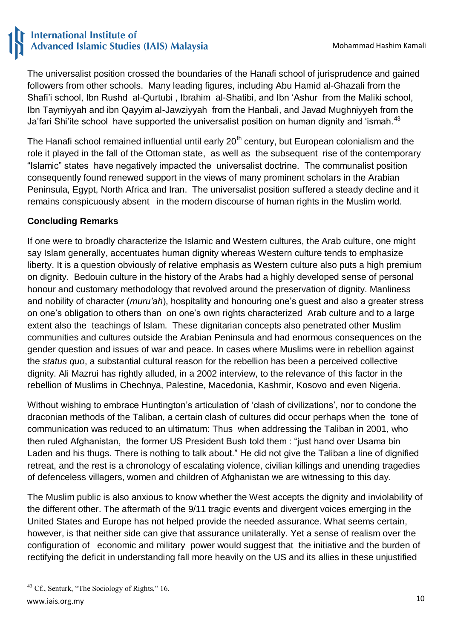The universalist position crossed the boundaries of the Hanafi school of jurisprudence and gained followers from other schools. Many leading figures, including Abu Hamid al-Ghazali from the Shafi"i school, Ibn Rushd al-Qurtubi , Ibrahim al-Shatibi, and Ibn "Ashur from the Maliki school, Ibn Taymiyyah and ibn Qayyim al-Jawziyyah from the Hanbali, and Javad Mughniyyeh from the Ja'fari Shi'ite school have supported the universalist position on human dignity and 'ismah.<sup>43</sup>

The Hanafi school remained influential until early 20<sup>th</sup> century, but European colonialism and the role it played in the fall of the Ottoman state, as well as the subsequent rise of the contemporary "Islamic" states have negatively impacted the universalist doctrine. The communalist position consequently found renewed support in the views of many prominent scholars in the Arabian Peninsula, Egypt, North Africa and Iran. The universalist position suffered a steady decline and it remains conspicuously absent in the modern discourse of human rights in the Muslim world.

## **Concluding Remarks**

If one were to broadly characterize the Islamic and Western cultures, the Arab culture, one might say Islam generally, accentuates human dignity whereas Western culture tends to emphasize liberty. It is a question obviously of relative emphasis as Western culture also puts a high premium on dignity. Bedouin culture in the history of the Arabs had a highly developed sense of personal honour and customary methodology that revolved around the preservation of dignity. Manliness and nobility of character (*muru'ah*), hospitality and honouring one"s guest and also a greater stress on one"s obligation to others than on one"s own rights characterized Arab culture and to a large extent also the teachings of Islam. These dignitarian concepts also penetrated other Muslim communities and cultures outside the Arabian Peninsula and had enormous consequences on the gender question and issues of war and peace. In cases where Muslims were in rebellion against the *status quo*, a substantial cultural reason for the rebellion has been a perceived collective dignity. Ali Mazrui has rightly alluded, in a 2002 interview, to the relevance of this factor in the rebellion of Muslims in Chechnya, Palestine, Macedonia, Kashmir, Kosovo and even Nigeria.

Without wishing to embrace Huntington's articulation of 'clash of civilizations', nor to condone the draconian methods of the Taliban, a certain clash of cultures did occur perhaps when the tone of communication was reduced to an ultimatum: Thus when addressing the Taliban in 2001, who then ruled Afghanistan, the former US President Bush told them : "just hand over Usama bin Laden and his thugs. There is nothing to talk about." He did not give the Taliban a line of dignified retreat, and the rest is a chronology of escalating violence, civilian killings and unending tragedies of defenceless villagers, women and children of Afghanistan we are witnessing to this day.

The Muslim public is also anxious to know whether the West accepts the dignity and inviolability of the different other. The aftermath of the 9/11 tragic events and divergent voices emerging in the United States and Europe has not helped provide the needed assurance. What seems certain, however, is that neither side can give that assurance unilaterally. Yet a sense of realism over the configuration of economic and military power would suggest that the initiative and the burden of rectifying the deficit in understanding fall more heavily on the US and its allies in these unjustified

**<sup>.</sup>** <sup>43</sup> Cf., Senturk, "The Sociology of Rights," 16.